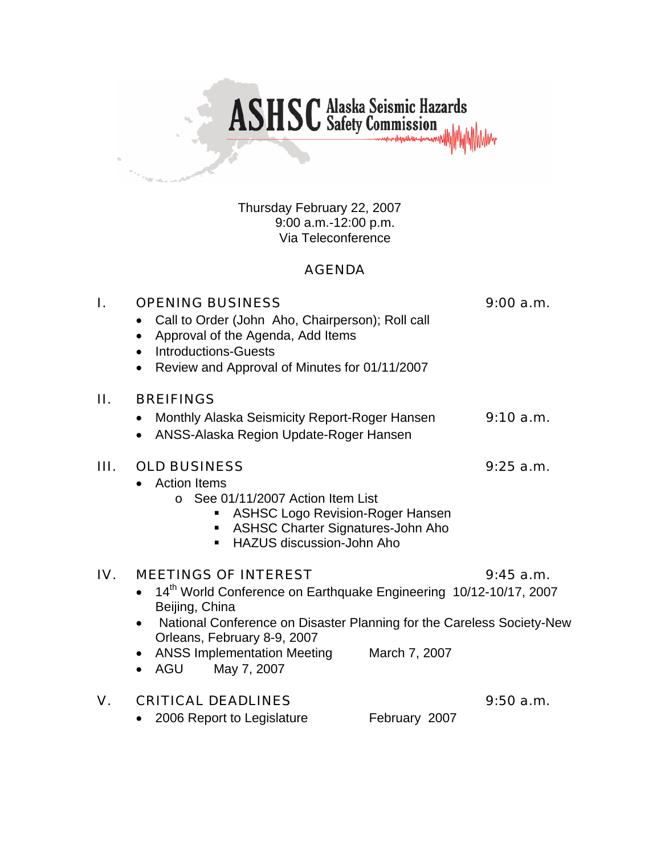

Thursday February 22, 2007 9:00 a.m.-12:00 p.m. Via Teleconference

### AGENDA

| I.  | <b>OPENING BUSINESS</b><br>Call to Order (John Aho, Chairperson); Roll call<br>$\bullet$<br>Approval of the Agenda, Add Items<br>$\bullet$<br><b>Introductions-Guests</b><br>$\bullet$<br>Review and Approval of Minutes for 01/11/2007<br>$\bullet$                                                            | 9:00 a.m.   |
|-----|-----------------------------------------------------------------------------------------------------------------------------------------------------------------------------------------------------------------------------------------------------------------------------------------------------------------|-------------|
| П.  | <b>BREIFINGS</b>                                                                                                                                                                                                                                                                                                |             |
|     | Monthly Alaska Seismicity Report-Roger Hansen<br>$\bullet$<br>ANSS-Alaska Region Update-Roger Hansen<br>$\bullet$                                                                                                                                                                                               | 9:10 a.m.   |
| Ш.  | <b>OLD BUSINESS</b><br><b>Action Items</b><br>$\bullet$<br>$\circ$ See 01/11/2007 Action Item List<br><b>ASHSC Logo Revision-Roger Hansen</b><br><b>ASHSC Charter Signatures-John Aho</b><br>ш<br>HAZUS discussion-John Aho                                                                                     | $9:25$ a.m. |
| IV. | <b>MEETINGS OF INTEREST</b><br>14th World Conference on Earthquake Engineering 10/12-10/17, 2007<br>Beijing, China<br>National Conference on Disaster Planning for the Careless Society-New<br>$\bullet$<br>Orleans, February 8-9, 2007<br>• ANSS Implementation Meeting<br>March 7, 2007<br>AGU<br>May 7, 2007 | $9:45$ a.m. |
| V.  | <b>CRITICAL DEADLINES</b>                                                                                                                                                                                                                                                                                       | 9:50a.m.    |

• 2006 Report to Legislature February 2007